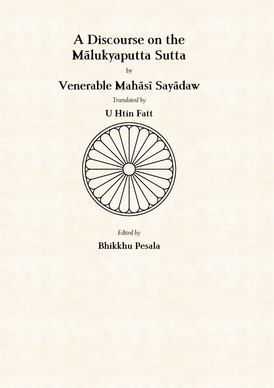# **A Discourse on the Mālukyaputta Sutta**

by

# **Venerable Mahāsī Sayādaw**

*Translated by*

# **U Htin Fatt**



*Edited by*

**Bhikkhu Pesala**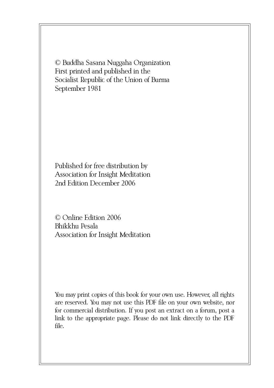© Buddha Sasana Nuggaha Organization First printed and published in the Socialist Republic of the Union of Burma September 1981

Published for free distribution by Association for Insight Meditation 2nd Edition December 2006

© Online Edition 2006 Bhikkhu Pesala Association for Insight Meditation

You may print copies of this book for your own use. However, all rights are reserved. You may not use this PDF file on your own website, nor for commercial distribution. If you post an extract on a forum, post a link to the appropriate page. Please do not link directly to the PDF file.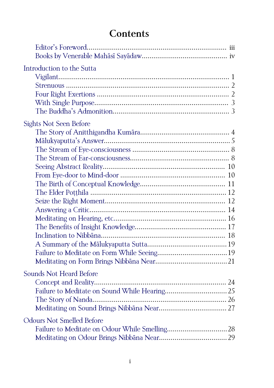# **Contents**

| Introduction to the Sutta        |  |
|----------------------------------|--|
|                                  |  |
|                                  |  |
|                                  |  |
|                                  |  |
|                                  |  |
| <b>Sights Not Seen Before</b>    |  |
|                                  |  |
|                                  |  |
|                                  |  |
|                                  |  |
|                                  |  |
|                                  |  |
|                                  |  |
|                                  |  |
|                                  |  |
|                                  |  |
|                                  |  |
|                                  |  |
|                                  |  |
|                                  |  |
|                                  |  |
|                                  |  |
| Sounds Not Heard Before          |  |
|                                  |  |
|                                  |  |
|                                  |  |
|                                  |  |
| <b>Odours Not Smelled Before</b> |  |
|                                  |  |
|                                  |  |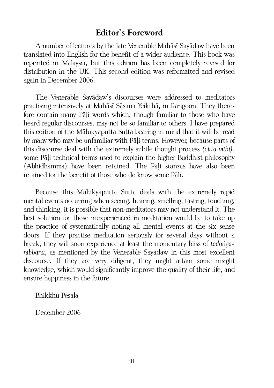#### <span id="page-4-0"></span>**Editor's Foreword**

A number of lectures by the late Venerable Mahāsī Sayādaw have been translated into English for the benefit of a wider audience. This book was reprinted in Malaysia, but this edition has been completely revised for distribution in the UK. This second edition was reformatted and revised again in December 2006.

The Venerable Sayādaw's discourses were addressed to meditators practising intensively at Mahāsī Sāsana Yeikthā, in Rangoon. They therefore contain many Pāḷi words which, though familiar to those who have heard regular discourses, may not be so familiar to others. I have prepared this edition of the Mālukyaputta Sutta bearing in mind that it will be read by many who may be unfamiliar with Pāḷi terms. However, because parts of this discourse deal with the extremely subtle thought process *(citta vīthi)*, some Pāli technical terms used to explain the higher Buddhist philosophy (Abhidhamma) have been retained. The Pāḷi stanzas have also been retained for the benefit of those who do know some Pāḷi.

Because this Mālukyaputta Sutta deals with the extremely rapid mental events occurring when seeing, hearing, smelling, tasting, touching, and thinking, it is possible that non-meditators may not understand it. The best solution for those inexperienced in meditation would be to take up the practice of systematically noting all mental events at the six sense doors. If they practise meditation seriously for several days without a break, they will soon experience at least the momentary bliss of *tadaṅganibbāna,* as mentioned by the Venerable Sayādaw in this most excellent discourse. If they are very diligent, they might attain some insight knowledge, which would significantly improve the quality of their life, and ensure happiness in the future.

Bhikkhu Pesala

December 2006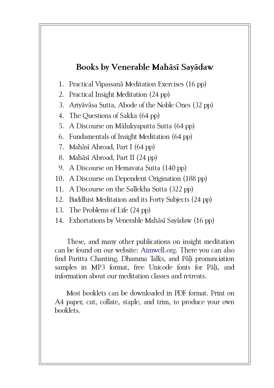# <span id="page-5-0"></span>**Books by Venerable Mahāsī Sayādaw**

- 1. Practical Vipassanā Meditation Exercises (16 pp)
- 2. Practical Insight Meditation (24 pp)
- 3. Ariyāvāsa Sutta, Abode of the Noble Ones (32 pp)
- 4. The Questions of Sakka (64 pp)
- 5. A Discourse on Mālukyaputta Sutta (64 pp)
- 6. Fundamentals of Insight Meditation (64 pp)
- 7. Mahāsī Abroad, Part I (64 pp)
- 8. Mahāsī Abroad, Part II (24 pp)
- 9. A Discourse on Hemavata Sutta (140 pp)
- 10. A Discourse on Dependent Origination (188 pp)
- 11. A Discourse on the Sallekha Sutta (322 pp)
- 12. Buddhist Meditation and its Forty Subjects (24 pp)
- 13. The Problems of Life (24 pp)
- 14. Exhortations by Venerable Mahāsī Sayādaw (16 pp)

These, and many other publications on insight meditation can be found on our website: [Aimwell.org.](http://www.aimwell.org/Books/books.html) There you can also find Paritta Chanting, Dhamma Talks, and Pāli pronunciation samples in MP3 format, free Unicode fonts for Pāli, and information about our meditation classes and retreats.

Most booklets can be downloaded in PDF format. Print on A4 paper, cut, collate, staple, and trim, to produce your own booklets.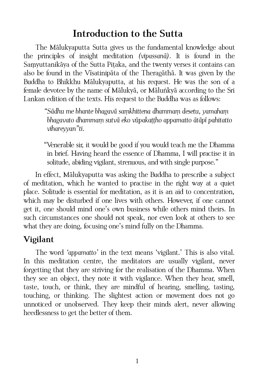# <span id="page-6-1"></span>**Introduction to the Sutta**

The Mālukyaputta Sutta gives us the fundamental knowledge about the principles of insight meditation *(vipassanā)*. It is found in the Samyuttanikāya of the Sutta Pitaka, and the twenty verses it contains can also be found in the Vīsatinipāta of the Theragāthā. It was given by the Buddha to Bhikkhu Mālukyaputta, at his request. He was the son of a female devotee by the name of Mālukyā, or Māluṅkyā according to the Sri Lankan edition of the texts. His request to the Buddha was as follows:

> *"Sādhu me bhante bhagavā saṃkhittena dhammaṃ desetu, yamahaṃ bhagavato dhammaṃ sutvā eko vūpakaṭṭho appamatto ātāpī pahitatto vihareyyan"ti.*

"Venerable sir, it would be good if you would teach me the Dhamma in brief. Having heard the essence of Dhamma, I will practise it in solitude, abiding vigilant, strenuous, and with single purpose."

In effect, Mālukyaputta was asking the Buddha to prescribe a subject of meditation, which he wanted to practise in the right way at a quiet place. Solitude is essential for meditation, as it is an aid to concentration, which may be disturbed if one lives with others. However, if one cannot get it, one should mind one's own business while others mind theirs. In such circumstances one should not speak, nor even look at others to see what they are doing, focusing one's mind fully on the Dhamma.

# <span id="page-6-0"></span>**Vigilant**

The word *'appamatto'* in the text means 'vigilant.' This is also vital. In this meditation centre, the meditators are usually vigilant, never forgetting that they are striving for the realisation of the Dhamma. When they see an object, they note it with vigilance. When they hear, smell, taste, touch, or think, they are mindful of hearing, smelling, tasting, touching, or thinking. The slightest action or movement does not go unnoticed or unobserved. They keep their minds alert, never allowing heedlessness to get the better of them.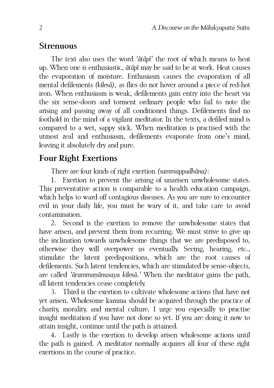#### <span id="page-7-1"></span>**Strenuous**

The text also uses the word *'ātāpī'* the root of which means to heat up. When one is enthusiastic, *ātāpī* may be said to be at work. Heat causes the evaporation of moisture. Enthusiasm causes the evaporation of all mental defilements *(kilesā)*, as flies do not hover around a piece of red-hot iron. When enthusiasm is weak, defilements gain entry into the heart via the six sense-doors and torment ordinary people who fail to note the arising and passing away of all conditioned things. Defilements find no foothold in the mind of a vigilant meditator. In the texts, a defiled mind is compared to a wet, sappy stick. When meditation is practised with the utmost zeal and enthusiasm, defilements evaporate from one's mind, leaving it absolutely dry and pure.

### <span id="page-7-0"></span>**Four Right Exertions**

There are four kinds of right exertion *(sammappadhāna)*:

1. Exertion to prevent the arising of unarisen unwholesome states. This preventative action is comparable to a health education campaign, which helps to ward off contagious diseases. As you are sure to encounter evil in your daily life, you must be wary of it, and take care to avoid contamination.

2. Second is the exertion to remove the unwholesome states that have arisen, and prevent them from recurring. We must strive to give up the inclination towards unwholesome things that we are predisposed to, otherwise they will overpower us eventually. Seeing, hearing, etc., stimulate the latent predispositions, which are the root causes of defilements. Such latent tendencies, which are stimulated by sense-objects, are called *'ārammaṇānusaya kilesā.'* When the meditator gains the path, all latent tendencies cease completely.

3. Third is the exertion to cultivate wholesome actions that have not yet arisen. Wholesome kamma should be acquired through the practice of charity, morality, and mental culture. I urge you especially to practise insight meditation if you have not done so yet. If you are doing it now to attain insight, continue until the path is attained.

4. Lastly is the exertion to develop arisen wholesome actions until the path is gained. A meditator normally acquires all four of these right exertions in the course of practice.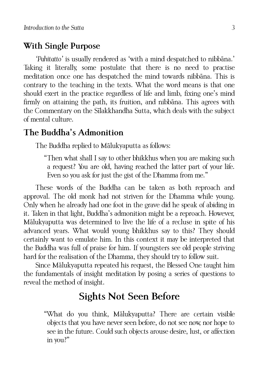#### <span id="page-8-2"></span>**With Single Purpose**

*'Pahitatto'* is usually rendered as 'with a mind despatched to nibbāna.' Taking it literally, some postulate that there is no need to practise meditation once one has despatched the mind towards nibbāna. This is contrary to the teaching in the texts. What the word means is that one should exert in the practice regardless of life and limb, fixing one's mind firmly on attaining the path, its fruition, and nibbāna. This agrees with the Commentary on the Sīlakkhandha Sutta, which deals with the subject of mental culture.

# <span id="page-8-1"></span>**The Buddha's Admonition**

The Buddha replied to Mālukyaputta as follows:

"Then what shall I say to other bhikkhus when you are making such a request? You are old, having reached the latter part of your life. Even so you ask for just the gist of the Dhamma from me."

These words of the Buddha can be taken as both reproach and approval. The old monk had not striven for the Dhamma while young. Only when he already had one foot in the grave did he speak of abiding in it. Taken in that light, Buddha's admonition might be a reproach. However, Mālukyaputta was determined to live the life of a recluse in spite of his advanced years. What would young bhikkhus say to this? They should certainly want to emulate him. In this context it may be interpreted that the Buddha was full of praise for him. If youngsters see old people striving hard for the realisation of the Dhamma, they should try to follow suit.

Since Mālukyaputta repeated his request, the Blessed One taught him the fundamentals of insight meditation by posing a series of questions to reveal the method of insight.

# <span id="page-8-0"></span>**Sights Not Seen Before**

"What do you think, Mālukyaputta? There are certain visible objects that you have never seen before, do not see now, nor hope to see in the future. Could such objects arouse desire, lust, or affection in you?"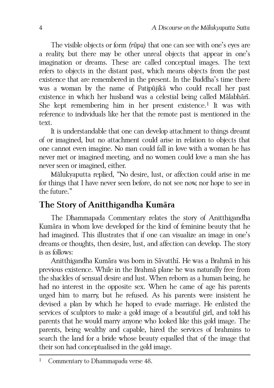The visible objects or form *(rūpa)* that one can see with one's eyes are a reality, but there may be other unreal objects that appear in one's imagination or dreams. These are called conceptual images. The text refers to objects in the distant past, which means objects from the past existence that are remembered in the present. In the Buddha's time there was a woman by the name of Patipūjikā who could recall her past existence in which her husband was a celestial being called Mālabhārī. She kept remembering him in her present existence.<sup>[1](#page-9-1)</sup> It was with reference to individuals like her that the remote past is mentioned in the text.

It is understandable that one can develop attachment to things dreamt of or imagined, but no attachment could arise in relation to objects that one cannot even imagine. No man could fall in love with a woman he has never met or imagined meeting, and no women could love a man she has never seen or imagined, either.

Mālukyaputta replied, "No desire, lust, or affection could arise in me for things that I have never seen before, do not see now, nor hope to see in the future."

# <span id="page-9-0"></span>**The Story of Anitthigandha Kumāra**

The Dhammapada Commentary relates the story of Anitthigandha Kumāra in whom love developed for the kind of feminine beauty that he had imagined. This illustrates that if one can visualize an image in one's dreams or thoughts, then desire, lust, and affection can develop. The story is as follows:

Anitthigandha Kumāra was born in Sāvatthī. He was a Brahmā in his previous existence. While in the Brahmā plane he was naturally free from the shackles of sensual desire and lust. When reborn as a human being, he had no interest in the opposite sex. When he came of age his parents urged him to marry, but he refused. As his parents were insistent he devised a plan by which he hoped to evade marriage. He enlisted the services of sculptors to make a gold image of a beautiful girl, and told his parents that he would marry anyone who looked like this gold image. The parents, being wealthy and capable, hired the services of brahmins to search the land for a bride whose beauty equalled that of the image that their son had conceptualised in the gold image.

<span id="page-9-1"></span>Commentary to Dhammapada verse 48.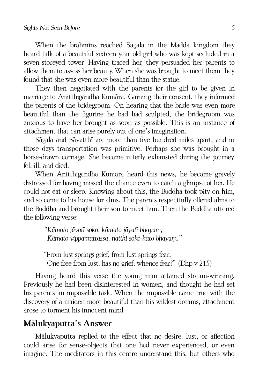When the brahmins reached Sāgala in the Madda kingdom they heard talk of a beautiful sixteen year old girl who was kept secluded in a seven-storeyed tower. Having traced her, they persuaded her parents to allow them to assess her beauty. When she was brought to meet them they found that she was even more beautiful than the statue.

They then negotiated with the parents for the girl to be given in marriage to Anitthigandha Kumāra. Gaining their consent, they informed the parents of the bridegroom. On hearing that the bride was even more beautiful than the figurine he had had sculpted, the bridegroom was anxious to have her brought as soon as possible. This is an instance of attachment that can arise purely out of one's imagination.

Sāgala and Sāvatthī are more than five hundred miles apart, and in those days transportation was primitive. Perhaps she was brought in a horse-drawn carriage. She became utterly exhausted during the journey, fell ill, and died.

When Anitthigandha Kumāra heard this news, he became gravely distressed for having missed the chance even to catch a glimpse of her. He could not eat or sleep. Knowing about this, the Buddha took pity on him, and so came to his house for alms. The parents respectfully offered alms to the Buddha and brought their son to meet him. Then the Buddha uttered the following verse:

> *"Kāmato jāyatī soko, kāmato jāyatī bhayaṃ; Kāmato vippamuttassa, natthi soko kuto bhayaṃ."*

"From lust springs grief, from lust springs fear; One free from lust, has no grief, whence fear?" (Dhp v 215)

Having heard this verse the young man attained stream-winning. Previously he had been disinterested in women, and thought he had set his parents an impossible task. When the impossible came true with the discovery of a maiden more beautiful than his wildest dreams, attachment arose to torment his innocent mind.

#### <span id="page-10-0"></span>**Mālukyaputta's Answer**

Mālukyaputta replied to the effect that no desire, lust, or affection could arise for sense-objects that one had never experienced, or even imagine. The meditators in this centre understand this, but others who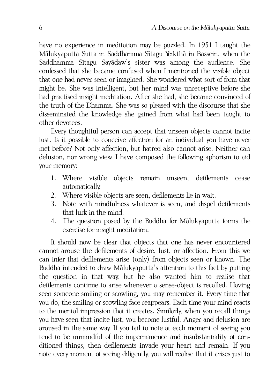have no experience in meditation may be puzzled. In 1951 I taught the Mālukyaputta Sutta in Saddhamma Sītagu Yeikthā in Bassein, when the Saddhamma Sītagu Sayādaw's sister was among the audience. She confessed that she became confused when I mentioned the visible object that one had never seen or imagined. She wondered what sort of form that might be. She was intelligent, but her mind was unreceptive before she had practised insight meditation. After she had, she became convinced of the truth of the Dhamma. She was so pleased with the discourse that she disseminated the knowledge she gained from what had been taught to other devotees.

Every thoughtful person can accept that unseen objects cannot incite lust. Is it possible to conceive affection for an individual you have never met before? Not only affection, but hatred also cannot arise. Neither can delusion, nor wrong view. I have composed the following aphorism to aid your memory:

- 1. Where visible objects remain unseen, defilements cease automatically.
- 2. Where visible objects are seen, defilements lie in wait.
- 3. Note with mindfulness whatever is seen, and dispel defilements that lurk in the mind.
- 4. The question posed by the Buddha for Mālukyaputta forms the exercise for insight meditation.

It should now be clear that objects that one has never encountered cannot arouse the defilements of desire, lust, or affection. From this we can infer that defilements arise (only) from objects seen or known. The Buddha intended to draw Mālukyaputta's attention to this fact by putting the question in that way, but he also wanted him to realise that defilements continue to arise whenever a sense-object is recalled. Having seen someone smiling or scowling, you may remember it. Every time that you do, the smiling or scowling face reappears. Each time your mind reacts to the mental impression that it creates. Similarly, when you recall things you have seen that incite lust, you become lustful. Anger and delusion are aroused in the same way. If you fail to note at each moment of seeing you tend to be unmindful of the impermanence and insubstantiality of conditioned things, then defilements invade your heart and remain. If you note every moment of seeing diligently, you will realise that it arises just to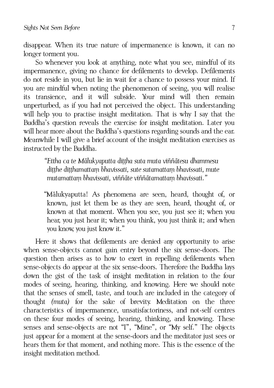disappear. When its true nature of impermanence is known, it can no longer torment you.

So whenever you look at anything, note what you see, mindful of its impermanence, giving no chance for defilements to develop. Defilements do not reside in you, but lie in wait for a chance to possess your mind. If you are mindful when noting the phenomenon of seeing, you will realise its transience, and it will subside. Your mind will then remain unperturbed, as if you had not perceived the object. This understanding will help you to practise insight meditation. That is why I say that the Buddha's question reveals the exercise for insight meditation. Later you will hear more about the Buddha's questions regarding sounds and the ear. Meanwhile I will give a brief account of the insight meditation exercises as instructed by the Buddha.

> <span id="page-12-0"></span>*"Ettha ca te Mālukyaputta diṭṭha suta muta viññātesu dhammesu diṭṭhe diṭṭhamattaṃ bhavissati, sute sutamattaṃ bhavissati, mute mutamattaṃ bhavissati, viññāte viññātamattaṃ bhavissati."*

"Mālukyaputta! As phenomena are seen, heard, thought of, or known, just let them be as they are seen, heard, thought of, or known at that moment. When you see, you just see it; when you hear, you just hear it; when you think, you just think it; and when you know, you just know it."

Here it shows that defilements are denied any opportunity to arise when sense-objects cannot gain entry beyond the six sense-doors. The question then arises as to how to exert in repelling defilements when sense-objects do appear at the six sense-doors. Therefore the Buddha lays down the gist of the task of insight meditation in relation to the four modes of seeing, hearing, thinking, and knowing. Here we should note that the senses of smell, taste, and touch are included in the category of thought *(muta)* for the sake of brevity. Meditation on the three characteristics of impermanence, unsatisfactoriness, and not-self centres on these four modes of seeing, hearing, thinking, and knowing. These senses and sense-objects are not "I", "Mine", or "My self." The objects just appear for a moment at the sense-doors and the meditator just sees or hears them for that moment, and nothing more. This is the essence of the insight meditation method.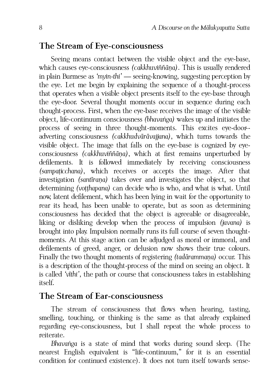#### <span id="page-13-1"></span>**The Stream of Eye-consciousness**

Seeing means contact between the visible object and the eye-base, which causes eye-consciousness *(cakkhuviññāṇa)*. This is usually rendered in plain Burmese as *'myin-thi'* — seeing-knowing, suggesting perception by the eye. Let me begin by explaining the sequence of a thought-process that operates when a visible object presents itself to the eye-base through the eye-door. Several thought moments occur in sequence during each thought-process. First, when the eye-base receives the image of the visible object, life-continuum consciousness *(bhavaṅga)* wakes up and initiates the process of seeing in three thought-moments. This excites eye-door- adverting consciousness *(cakkhudvārāvajjana)*, which turns towards the visible object. The image that falls on the eye-base is cognized by eyeconsciousness *(cakkhuviññāṇa)*, which at first remains unperturbed by defilements. It is followed immediately by receiving consciousness *(sampaṭicchana)*, which receives or accepts the image. After that investigation *(santīraṇa)* takes over and investigates the object, so that determining *(voṭṭhapana)* can decide who is who, and what is what. Until now, latent defilement, which has been lying in wait for the opportunity to rear its head, has been unable to operate, but as soon as determining consciousness has decided that the object is agreeable or disagreeable, liking or disliking develop when the process of impulsion *(javana)* is brought into play. Impulsion normally runs its full course of seven thoughtmoments. At this stage action can be adjudged as moral or immoral, and defilements of greed, anger, or delusion now shows their true colours. Finally the two thought moments of registering *(tadārammaṇa)* occur. This is a description of the thought-process of the mind on seeing an object. It is called *'vīthi',* the path or course that consciousness takes in establishing itself.

#### <span id="page-13-0"></span>**The Stream of Ear-consciousness**

The stream of consciousness that flows when hearing, tasting, smelling, touching, or thinking is the same as that already explained regarding eye-consciousness, but I shall repeat the whole process to reiterate.

*Bhavaṅga* is a state of mind that works during sound sleep. (The nearest English equivalent is "life-continuum," for it is an essential condition for continued existence). It does not turn itself towards sense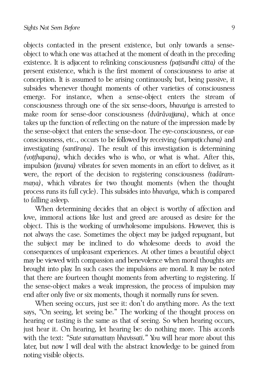objects contacted in the present existence, but only towards a senseobject to which one was attached at the moment of death in the preceding existence. It is adjacent to relinking consciousness *(paṭisandhi citta)* of the present existence, which is the first moment of consciousness to arise at conception. It is assumed to be arising continuously, but, being passive, it subsides whenever thought moments of other varieties of consciousness emerge. For instance, when a sense-object enters the stream of consciousness through one of the six sense-doors, *bhavaṅga* is arrested to make room for sense-door consciousness *(dvārāvajjana)*, which at once takes up the function of reflecting on the nature of the impression made by the sense-object that enters the sense-door. The eye-consciousness, or earconsciousness, etc., occurs to be followed by receiving *(sampaṭicchana)* and investigating *(santīraṇa)*. The result of this investigation is determining *(voṭṭhapana),* which decides who is who, or what is what. After this, impulsion *(javana)* vibrates for seven moments in an effort to deliver, as it were, the report of the decision to registering consciousness *(tadārammaṇa)*, which vibrates for two thought moments (when the thought process runs its full cycle). This subsides into *bhavaṅga,* which is compared to falling asleep.

When determining decides that an object is worthy of affection and love, immoral actions like lust and greed are aroused as desire for the object. This is the working of unwholesome impulsions. However, this is not always the case. Sometimes the object may be judged repugnant, but the subject may be inclined to do wholesome deeds to avoid the consequences of unpleasant experiences. At other times a beautiful object may be viewed with compassion and benevolence when moral thoughts are brought into play. In such cases the impulsions are moral. It may be noted that there are fourteen thought moments from adverting to registering. If the sense-object makes a weak impression, the process of impulsion may end after only five or six moments, though it normally runs for seven.

When seeing occurs, just see it: don't do anything more. As the text says, "On seeing, let seeing be." The working of the thought process on hearing or tasting is the same as that of seeing. So when hearing occurs, just hear it. On hearing, let hearing be: do nothing more. This accords with the text: "Sute sutamattam bhavissati." You will hear more about this later, but now I will deal with the abstract knowledge to be gained from noting visible objects.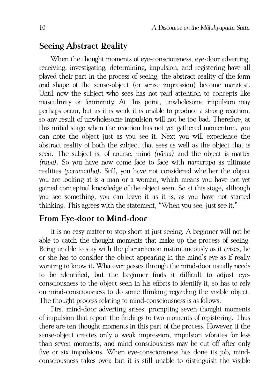#### <span id="page-15-1"></span>**Seeing Abstract Reality**

When the thought moments of eye-consciousness, eye-door adverting, receiving, investigating, determining, impulsion, and registering have all played their part in the process of seeing, the abstract reality of the form and shape of the sense-object (or sense impression) become manifest. Until now the subject who sees has not paid attention to concepts like masculinity or femininity. At this point, unwholesome impulsion may perhaps occur, but as it is weak it is unable to produce a strong reaction, so any result of unwholesome impulsion will not be too bad. Therefore, at this initial stage when the reaction has not yet gathered momentum, you can note the object just as you see it. Next you will experience the abstract reality of both the subject that sees as well as the object that is seen. The subject is, of course, mind *(nāma)* and the object is matter *(rūpa)*. So you have now come face to face with *nāmarūpa* as ultimate realities *(paramattha)*. Still, you have not considered whether the object you are looking at is a man or a woman, which means you have not yet gained conceptual knowledge of the object seen. So at this stage, although you see something, you can leave it as it is, as you have not started thinking. This agrees with the statement, "When you see, just see it."

#### <span id="page-15-0"></span>**From Eye-door to Mind-door**

It is no easy matter to stop short at just seeing. A beginner will not be able to catch the thought moments that make up the process of seeing. Being unable to stay with the phenomenon instantaneously as it arises, he or she has to consider the object appearing in the mind's eye as if really wanting to know it. Whatever passes through the mind-door usually needs to be identified, but the beginner finds it difficult to adjust eyeconsciousness to the object seen in his efforts to identify it, so has to rely on mind-consciousness to do some thinking regarding the visible object. The thought process relating to mind-consciousness is as follows.

First mind-door adverting arises, prompting seven thought moments of impulsion that report the findings to two moments of registering. Thus there are ten thought moments in this part of the process. However, if the sense-object creates only a weak impression, impulsion vibrates for less than seven moments, and mind consciousness may be cut off after only five or six impulsions. When eye-consciousness has done its job, mindconsciousness takes over, but it is still unable to distinguish the visible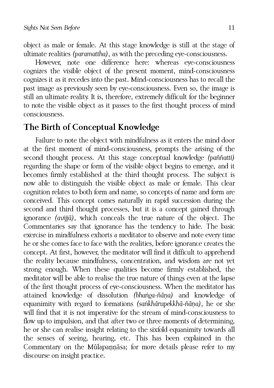object as male or female. At this stage knowledge is still at the stage of ultimate realities *(paramattha)*, as with the preceding eye-consciousness.

However, note one difference here: whereas eye-consciousness cognizes the visible object of the present moment, mind-consciousness cognizes it as it recedes into the past. Mind-consciousness has to recall the past image as previously seen by eye-consciousness. Even so, the image is still an ultimate reality. It is, therefore, extremely difficult for the beginner to note the visible object as it passes to the first thought process of mind consciousness.

### <span id="page-16-0"></span>**The Birth of Conceptual Knowledge**

Failure to note the object with mindfulness as it enters the mind door at the first moment of mind-consciousness, prompts the arising of the second thought process. At this stage conceptual knowledge *(paññatti)* regarding the shape or form of the visible object begins to emerge, and it becomes firmly established at the third thought process. The subject is now able to distinguish the visible object as male or female. This clear cognition relates to both form and name, so concepts of name and form are conceived. This concept comes naturally in rapid succession during the second and third thought processes, but it is a concept gained through ignorance *(avijjā)*, which conceals the true nature of the object. The Commentaries say that ignorance has the tendency to hide. The basic exercise in mindfulness exhorts a meditator to observe and note every time he or she comes face to face with the realities, before ignorance creates the concept. At first, however, the meditator will find it difficult to apprehend the reality because mindfulness, concentration, and wisdom are not yet strong enough. When these qualities become firmly established, the meditator will be able to realise the true nature of things even at the lapse of the first thought process of eye-consciousness. When the meditator has attained knowledge of dissolution *(bhaṅga-ñāṇa)* and knowledge of equanimity with regard to formations *(saṅkhārupekkhā-ñāṇa)*, he or she will find that it is not imperative for the stream of mind-consciousness to flow up to impulsion, and that after two or three moments of determining, he or she can realise insight relating to the sixfold equanimity towards all the senses of seeing, hearing, etc. This has been explained in the Commentary on the Mūlapannāsa; for more details please refer to my discourse on insight practice.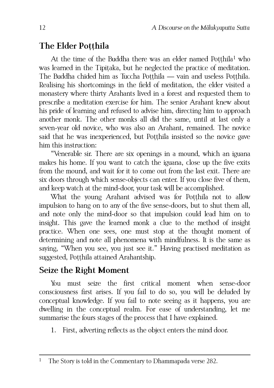# <span id="page-17-1"></span>**The Elder Potthila**

At the time of the Buddha there was an elder named Poṭṭhila<sup>[1](#page-17-2)</sup> who was learned in the Tipitaka, but he neglected the practice of meditation. The Buddha chided him as Tuccha Potthila — vain and useless Potthila. Realising his shortcomings in the field of meditation, the elder visited a monastery where thirty Arahants lived in a forest and requested them to prescribe a meditation exercise for him. The senior Arahant knew about his pride of learning and refused to advise him, directing him to approach another monk. The other monks all did the same, until at last only a seven-year old novice, who was also an Arahant, remained. The novice said that he was inexperienced, but Potthila insisted so the novice gave him this instruction:

"Venerable sir. There are six openings in a mound, which an iguana makes his home. If you want to catch the iguana, close up the five exits from the mound, and wait for it to come out from the last exit. There are six doors through which sense-objects can enter. If you close five of them, and keep watch at the mind-door, your task will be accomplished.

What the young Arahant advised was for Potthila not to allow impulsion to hang on to any of the five sense-doors, but to shut them all, and note only the mind-door so that impulsion could lead him on to insight. This gave the learned monk a clue to the method of insight practice. When one sees, one must stop at the thought moment of determining and note all phenomena with mindfulness. It is the same as saying, "When you see, you just see it." Having practised meditation as suggested, Potthila attained Arahantship.

# <span id="page-17-0"></span>**Seize the Right Moment**

You must seize the first critical moment when sense-door consciousness first arises. If you fail to do so, you will be deluded by conceptual knowledge. If you fail to note seeing as it happens, you are dwelling in the conceptual realm. For ease of understanding, let me summarise the fours stages of the process that I have explained.

1. First, adverting reflects as the object enters the mind door.

<span id="page-17-2"></span><sup>&</sup>lt;sup>1</sup> The Story is told in the Commentary to Dhammapada verse 282.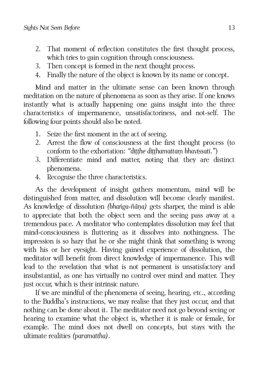- 2. That moment of reflection constitutes the first thought process, which tries to gain cognition through consciousness.
- 3. Then concept is formed in the next thought process.
- 4. Finally the nature of the object is known by its name or concept.

Mind and matter in the ultimate sense can been known through meditation on the nature of phenomena as soon as they arise. If one knows instantly what is actually happening one gains insight into the three characteristics of impermanence, unsatisfactoriness, and not-self. The following four points should also be noted.

- 1. Seize the first moment in the act of seeing.
- 2. Arrest the flow of consciousness at the first thought process (to conform to the exhortation: *"diṭṭhe diṭṭhamattaṃ bhavissati."*)
- 3. Differentiate mind and matter, noting that they are distinct phenomena.
- 4. Recognise the three characteristics.

As the development of insight gathers momentum, mind will be distinguished from matter, and dissolution will become clearly manifest. As knowledge of dissolution *(bhaṅga-ñāṇa)* gets sharper, the mind is able to appreciate that both the object seen and the seeing pass away at a tremendous pace. A meditator who contemplates dissolution may feel that mind-consciousness is fluttering as it dissolves into nothingness. The impression is so hazy that he or she might think that something is wrong with his or her eyesight. Having gained experience of dissolution, the meditator will benefit from direct knowledge of impermanence. This will lead to the revelation that what is not permanent is unsatisfactory and insubstantial, as one has virtually no control over mind and matter. They just occur, which is their intrinsic nature.

If we are mindful of the phenomena of seeing, hearing, etc., according to the Buddha's instructions, we may realise that they just occur, and that nothing can be done about it. The meditator need not go beyond seeing or hearing to examine what the object is, whether it is male or female, for example. The mind does not dwell on concepts, but stays with the ultimate realities *(paramattha)*.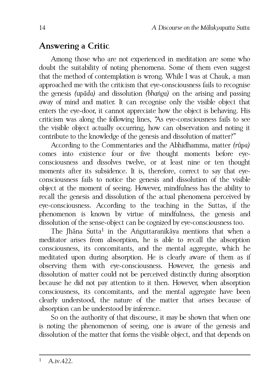### <span id="page-19-0"></span>**Answering a Critic**

Among those who are not experienced in meditation are some who doubt the suitability of noting phenomena. Some of them even suggest that the method of contemplation is wrong. While I was at Chauk, a man approached me with the criticism that eye-consciousness fails to recognise the genesis *(upāda)* and dissolution *(bhaṅga)* on the arising and passing away of mind and matter. It can recognise only the visible object that enters the eye-door, it cannot appreciate how the object is behaving. His criticism was along the following lines, "As eye-consciousness fails to see the visible object actually occurring, how can observation and noting it contribute to the knowledge of the genesis and dissolution of matter?"

According to the Commentaries and the Abhidhamma, matter *(rūpa)* comes into existence four or five thought moments before eyeconsciousness and dissolves twelve, or at least nine or ten thought moments after its subsidence. It is, therefore, correct to say that eyeconsciousness fails to notice the genesis and dissolution of the visible object at the moment of seeing. However, mindfulness has the ability to recall the genesis and dissolution of the actual phenomena perceived by eye-consciousness. According to the teaching in the Suttas, if the phenomenon is known by virtue of mindfulness, the genesis and dissolution of the sense-object can be cognized by eye-consciousness too.

The Jhāna Sutta<sup>[1](#page-19-1)</sup> in the Aṅguttaranikāya mentions that when a meditator arises from absorption, he is able to recall the absorption consciousness, its concomitants, and the mental aggregate, which he meditated upon during absorption. He is clearly aware of them as if observing them with eye-consciousness. However, the genesis and dissolution of matter could not be perceived distinctly during absorption because he did not pay attention to it then. However, when absorption consciousness, its concomitants, and the mental aggregate have been clearly understood, the nature of the matter that arises because of absorption can be understood by inference.

<span id="page-19-1"></span>So on the authority of that discourse, it may be shown that when one is noting the phenomenon of seeing, one is aware of the genesis and dissolution of the matter that forms the visible object, and that depends on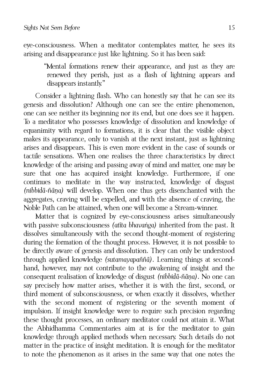eye-consciousness. When a meditator contemplates matter, he sees its arising and disappearance just like lightning. So it has been said:

"Mental formations renew their appearance, and just as they are renewed they perish, just as a flash of lightning appears and disappears instantly."

Consider a lightning flash. Who can honestly say that he can see its genesis and dissolution? Although one can see the entire phenomenon, one can see neither its beginning nor its end, but one does see it happen. To a meditator who possesses knowledge of dissolution and knowledge of equanimity with regard to formations, it is clear that the visible object makes its appearance, only to vanish at the next instant, just as lightning arises and disappears. This is even more evident in the case of sounds or tactile sensations. When one realises the three characteristics by direct knowledge of the arising and passing away of mind and matter, one may be sure that one has acquired insight knowledge. Furthermore, if one continues to meditate in the way instructed, knowledge of disgust *(nibbidā-ñāṇa)* will develop. When one thus gets disenchanted with the aggregates, craving will be expelled, and with the absence of craving, the Noble Path can be attained, when one will become a Stream-winner.

Matter that is cognized by eye-consciousness arises simultaneously with passive subconsciousness *(atīta bhavaṅga)* inherited from the past. It dissolves simultaneously with the second thought-moment of registering during the formation of the thought process. However, it is not possible to be directly aware of genesis and dissolution. They can only be understood through applied knowledge *(sutamayapaññā)*. Learning things at secondhand, however, may not contribute to the awakening of insight and the consequent realisation of knowledge of disgust *(nibbidā-ñāṇa)*. No one can say precisely how matter arises, whether it is with the first, second, or third moment of subconsciousness, or when exactly it dissolves, whether with the second moment of registering or the seventh moment of impulsion. If insight knowledge were to require such precision regarding these thought processes, an ordinary meditator could not attain it. What the Abhidhamma Commentaries aim at is for the meditator to gain knowledge through applied methods when necessary. Such details do not matter in the practice of insight meditation. It is enough for the meditator to note the phenomenon as it arises in the same way that one notes the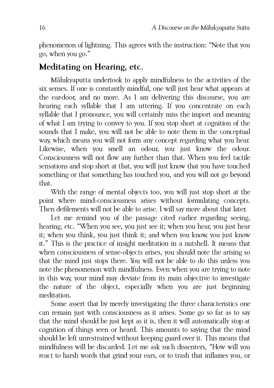phenomenon of lightning. This agrees with the instruction: "Note that you go, when you go."

### <span id="page-21-0"></span>**Meditating on Hearing, etc.**

Mālukyaputta undertook to apply mindfulness to the activities of the six senses. If one is constantly mindful, one will just hear what appears at the ear-door, and no more. As I am delivering this discourse, you are hearing each syllable that I am uttering. If you concentrate on each syllable that I pronounce, you will certainly miss the import and meaning of what I am trying to convey to you. If you stop short at cognition of the sounds that I make, you will not be able to note them in the conceptual way, which means you will not form any concept regarding what you hear. Likewise, when you smell an odour, you just know the odour. Consciousness will not flow any further than that. When you feel tactile sensations and stop short at that, you will just know that you have touched something or that something has touched you, and you will not go beyond that.

With the range of mental objects too, you will just stop short at the point where mind-consciousness arises without formulating concepts. Then defilements will not be able to arise. I will say more about that later.

Let me remind you of the passage cited earlier regarding seeing, hearing, etc. "When you see, you just see it; when you hear, you just hear it; when you think, you just think it; and when you know, you just know it." This is the practice of insight meditation in a nutshell. It means that when consciousness of sense-objects arises, you should note the arising so that the mind just stops there. You will not be able to do this unless you note the phenomenon with mindfulness. Even when you are trying to note in this way, your mind may deviate from its main objective to investigate the nature of the object, especially when you are just beginning meditation.

Some assert that by merely investigating the three characteristics one can remain just with consciousness as it arises. Some go so far as to say that the mind should be just kept as it is, then it will automatically stop at cognition of things seen or heard. This amounts to saying that the mind should be left unrestrained without keeping guard over it. This means that mindfulness will be discarded. Let me ask such dissenters, "How will you react to harsh words that grind your ears, or to trash that inflames you, or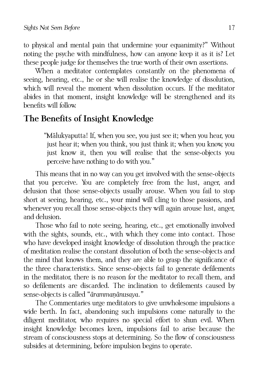to physical and mental pain that undermine your equanimity?" Without noting the psyche with mindfulness, how can anyone keep it as it is? Let these people judge for themselves the true worth of their own assertions.

When a meditator contemplates constantly on the phenomena of seeing, hearing, etc., he or she will realise the knowledge of dissolution, which will reveal the moment when dissolution occurs. If the meditator abides in that moment, insight knowledge will be strengthened and its benefits will follow.

# <span id="page-22-0"></span>**The Benefits of Insight Knowledge**

"Mālukyaputta! If, when you see, you just see it; when you hear, you just hear it; when you think, you just think it; when you know, you just know it, then you will realise that the sense-objects you perceive have nothing to do with you."

This means that in no way can you get involved with the sense-objects that you perceive. You are completely free from the lust, anger, and delusion that those sense-objects usually arouse. When you fail to stop short at seeing, hearing, etc., your mind will cling to those passions, and whenever you recall those sense-objects they will again arouse lust, anger, and delusion.

Those who fail to note seeing, hearing, etc., get emotionally involved with the sights, sounds, etc., with which they come into contact. Those who have developed insight knowledge of dissolution through the practice of meditation realise the constant dissolution of both the sense-objects and the mind that knows them, and they are able to grasp the significance of the three characteristics. Since sense-objects fail to generate defilements in the meditator, there is no reason for the meditator to recall them, and so defilements are discarded. The inclination to defilements caused by sense-objects is called "*ārammaṇānusaya."*

The Commentaries urge meditators to give unwholesome impulsions a wide berth. In fact, abandoning such impulsions come naturally to the diligent meditator, who requires no special effort to shun evil. When insight knowledge becomes keen, impulsions fail to arise because the stream of consciousness stops at determining. So the flow of consciousness subsides at determining, before impulsion begins to operate.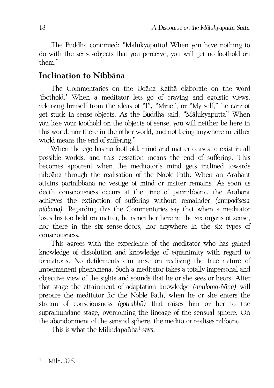The Buddha continued: "Mālukyaputta! When you have nothing to do with the sense-objects that you perceive, you will get no foothold on them."

# <span id="page-23-0"></span>**Inclination to Nibbāna**

The Commentaries on the Udāna Kathā elaborate on the word 'foothold.' When a meditator lets go of craving and egoistic views, releasing himself from the ideas of "I", "Mine", or "My self," he cannot get stuck in sense-objects. As the Buddha said, "Mālukyaputta" When you lose your foothold on the objects of sense, you will neither be here in this world, nor there in the other world, and not being anywhere in either world means the end of suffering."

When the ego has no foothold, mind and matter ceases to exist in all possible worlds, and this cessation means the end of suffering. This becomes apparent when the meditator's mind gets inclined towards nibbāna through the realisation of the Noble Path. When an Arahant attains parinibbāna no vestige of mind or matter remains. As soon as death consciousness occurs at the time of parinibbāna, the Arahant achieves the extinction of suffering without remainder *(anupadisesa nibbāna)*. Regarding this the Commentaries say that when a meditator loses his foothold on matter, he is neither here in the six organs of sense, nor there in the six sense-doors, nor anywhere in the six types of consciousness.

This agrees with the experience of the meditator who has gained knowledge of dissolution and knowledge of equanimity with regard to formations. No defilements can arise on realising the true nature of impermanent phenomena. Such a meditator takes a totally impersonal and objective view of the sights and sounds that he or she sees or hears. After that stage the attainment of adaptation knowledge *(anuloma-ñāṇa)* will prepare the meditator for the Noble Path, when he or she enters the stream of consciousness *(gotrabhū)* that raises him or her to the supramundane stage, overcoming the lineage of the sensual sphere. On the abandonment of the sensual sphere, the meditator realises nibbāna.

<span id="page-23-1"></span>This is what the Milindapañha<sup>[1](#page-23-1)</sup> says: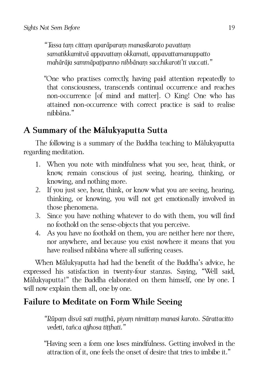*"Tassa taṃ cittaṃ aparāparaṃ manasikaroto pavattaṃ samatikkamitvā appavattaṃ okkamati, appavattamanuppatto mahārāja sammāpaṭipanno nibbānaṃ sacchikaroti'ti vuccati."*

"One who practises correctly, having paid attention repeatedly to that consciousness, transcends continual occurrence and reaches non-occurrence [of mind and matter]. O King! One who has attained non-occurrence with correct practice is said to realise nibbāna."

# <span id="page-24-1"></span>**A Summary of the Mālukyaputta Sutta**

The following is a summary of the Buddha teaching to Mālukyaputta regarding meditation.

- 1. When you note with mindfulness what you see, hear, think, or know, remain conscious of just seeing, hearing, thinking, or knowing, and nothing more.
- 2. If you just see, hear, think, or know what you are seeing, hearing, thinking, or knowing, you will not get emotionally involved in those phenomena.
- 3. Since you have nothing whatever to do with them, you will find no foothold on the sense-objects that you perceive.
- 4. As you have no foothold on them, you are neither here nor there, nor anywhere, and because you exist nowhere it means that you have realised nibbāna where all suffering ceases.

When Mālukyaputta had had the benefit of the Buddha's advice, he expressed his satisfaction in twenty-four stanzas. Saying, "Well said, Mālukyaputta!" the Buddha elaborated on them himself, one by one. I will now explain them all, one by one.

# <span id="page-24-0"></span>**Failure to Meditate on Form While Seeing**

*"Rūpaṃ disvā sati muṭṭhā, piyaṃ nimittaṃ manasi karoto. Sārattacitto vedeti, tañca ajjhosa tiṭṭhati."*

"Having seen a form one loses mindfulness. Getting involved in the attraction of it, one feels the onset of desire that tries to imbibe it."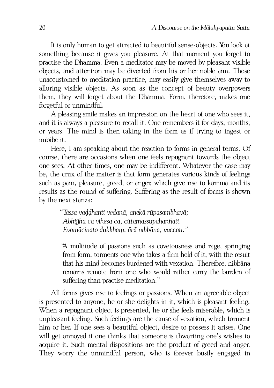It is only human to get attracted to beautiful sense-objects. You look at something because it gives you pleasure. At that moment you forget to practise the Dhamma. Even a meditator may be moved by pleasant visible objects, and attention may be diverted from his or her noble aim. Those unaccustomed to meditation practice, may easily give themselves away to alluring visible objects. As soon as the concept of beauty overpowers them, they will forget about the Dhamma. Form, therefore, makes one forgetful or unmindful.

A pleasing smile makes an impression on the heart of one who sees it, and it is always a pleasure to recall it. One remembers it for days, months, or years. The mind is then taking in the form as if trying to ingest or imbibe it.

Here, I am speaking about the reaction to forms in general terms. Of course, there are occasions when one feels repugnant towards the object one sees. At other times, one may be indifferent. Whatever the case may be, the crux of the matter is that form generates various kinds of feelings such as pain, pleasure, greed, or anger, which give rise to kamma and its results as the round of suffering. Suffering as the result of forms is shown by the next stanza:

> *"Tassa vaḍḍhanti vedanā, anekā rūpasambhavā; Abhijjhā ca vihesā ca, cittamassūpahaññati. Evamācinato dukkhaṃ, ārā nibbāna, vuccati."*

"A multitude of passions such as covetousness and rage, springing from form, torments one who takes a firm hold of it, with the result that his mind becomes burdened with vexation. Therefore, nibbāna remains remote from one who would rather carry the burden of suffering than practise meditation."

All forms gives rise to feelings or passions. When an agreeable object is presented to anyone, he or she delights in it, which is pleasant feeling. When a repugnant object is presented, he or she feels miserable, which is unpleasant feeling. Such feelings are the cause of vexation, which torment him or her. If one sees a beautiful object, desire to possess it arises. One will get annoyed if one thinks that someone is thwarting one's wishes to acquire it. Such mental dispositions are the product of greed and anger. They worry the unmindful person, who is forever busily engaged in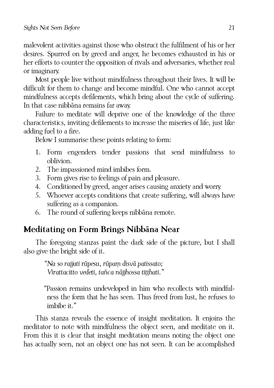malevolent activities against those who obstruct the fulfilment of his or her desires. Spurred on by greed and anger, he becomes exhausted in his or her efforts to counter the opposition of rivals and adversaries, whether real or imaginary.

Most people live without mindfulness throughout their lives. It will be difficult for them to change and become mindful. One who cannot accept mindfulness accepts defilements, which bring about the cycle of suffering. In that case nibbāna remains far away.

Failure to meditate will deprive one of the knowledge of the three characteristics, inviting defilements to increase the miseries of life, just like adding fuel to a fire.

Below I summarise these points relating to form:

- 1. Form engenders tender passions that send mindfulness to oblivion.
- 2. The impassioned mind imbibes form.
- 3. Form gives rise to feelings of pain and pleasure.
- 4. Conditioned by greed, anger arises causing anxiety and worry.
- 5. Whoever accepts conditions that create suffering, will always have suffering as a companion.
- 6. The round of suffering keeps nibbāna remote.

# <span id="page-26-0"></span>**Meditating on Form Brings Nibbāna Near**

The foregoing stanzas paint the dark side of the picture, but I shall also give the bright side of it.

*"Na so rajjati rūpesu, rūpaṃ disvā patissato; Virattacitto vedeti, tañca nājjhossa tiṭṭhati."*

"Passion remains undeveloped in him who recollects with mindfulness the form that he has seen. Thus freed from lust, he refuses to imbibe it."

This stanza reveals the essence of insight meditation. It enjoins the meditator to note with mindfulness the object seen, and meditate on it. From this it is clear that insight meditation means noting the object one has actually seen, not an object one has not seen. It can be accomplished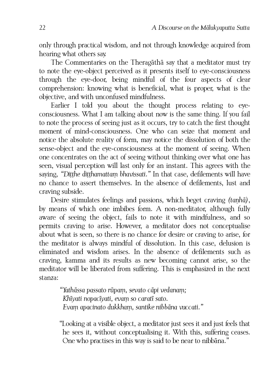only through practical wisdom, and not through knowledge acquired from hearing what others say.

The Commentaries on the Theragāthā say that a meditator must try to note the eye-object perceived as it presents itself to eye-consciousness through the eye-door, being mindful of the four aspects of clear comprehension: knowing what is beneficial, what is proper, what is the objective, and with unconfused mindfulness.

Earlier I told you about the thought process relating to eyeconsciousness. What I am talking about now is the same thing. If you fail to note the process of seeing just as it occurs, try to catch the first thought moment of mind-consciousness. One who can seize that moment and notice the absolute reality of form, may notice the dissolution of both the sense-object and the eye-consciousness at the moment of seeing. When one concentrates on the act of seeing without thinking over what one has seen, visual perception will last only for an instant. This agrees with the saying, *"Diṭṭhe diṭṭhamattaṃ bhavissati."* In that case, defilements will have no chance to assert themselves. In the absence of defilements, lust and craving subside.

Desire stimulates feelings and passions, which beget craving *(taṇhā)*, by means of which one imbibes form. A non-meditator, although fully aware of seeing the object, fails to note it with mindfulness, and so permits craving to arise. However, a meditator does not conceptualise about what is seen, so there is no chance for desire or craving to arise, for the meditator is always mindful of dissolution. In this case, delusion is eliminated and wisdom arises. In the absence of defilements such as craving, kamma and its results as new becoming cannot arise, so the meditator will be liberated from suffering. This is emphasized in the next stanza:

> *"Yathāssa passato rūpaṃ, sevato cāpi vedanaṃ; Khīyati nopacīyati, evaṃ so caratī sato. Evaṃ apacinato dukkhaṃ, santike nibbāna vuccati."*

"Looking at a visible object, a meditator just sees it and just feels that he sees it, without conceptualising it. With this, suffering ceases. One who practises in this way is said to be near to nibbāna."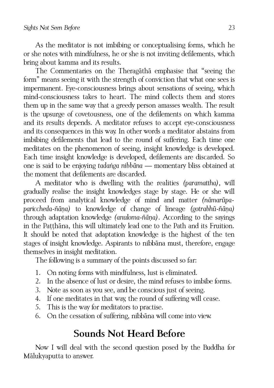As the meditator is not imbibing or conceptualising forms, which he or she notes with mindfulness, he or she is not inviting defilements, which bring about kamma and its results.

The Commentaries on the Theragāthā emphasise that "seeing the form" means seeing it with the strength of conviction that what one sees is impermanent. Eye-consciousness brings about sensations of seeing, which mind-consciousness takes to heart. The mind collects them and stores them up in the same way that a greedy person amasses wealth. The result is the upsurge of covetousness, one of the defilements on which kamma and its results depends. A meditator refuses to accept eye-consciousness and its consequences in this way. In other words a meditator abstains from imbibing defilements that lead to the round of suffering. Each time one meditates on the phenomenon of seeing, insight knowledge is developed. Each time insight knowledge is developed, defilements are discarded. So one is said to be enjoying *tadaṅga nibbāna* — momentary bliss obtained at the moment that defilements are discarded.

A meditator who is dwelling with the realities *(paramattha)*, will gradually realise the insight knowledges stage by stage. He or she will proceed from analytical knowledge of mind and matter *(nāmarūpapariccheda-ñāṇa)* to knowledge of change of lineage *(gotrabhū-ñāṇa)* through adaptation knowledge *(anuloma-ñāṇa)*. According to the sayings in the Paṭṭhāna, this will ultimately lead one to the Path and its Fruition. It should be noted that adaptation knowledge is the highest of the ten stages of insight knowledge. Aspirants to nibbāna must, therefore, engage themselves in insight meditation.

The following is a summary of the points discussed so far:

- 1. On noting forms with mindfulness, lust is eliminated.
- 2. In the absence of lust or desire, the mind refuses to imbibe forms.
- 3. Note as soon as you see, and be conscious just of seeing.
- 4. If one meditates in that way, the round of suffering will cease.
- 5. This is the way for meditators to practise.
- 6. On the cessation of suffering, nibbāna will come into view.

# <span id="page-28-0"></span>**Sounds Not Heard Before**

Now I will deal with the second question posed by the Buddha for Mālukyaputta to answer.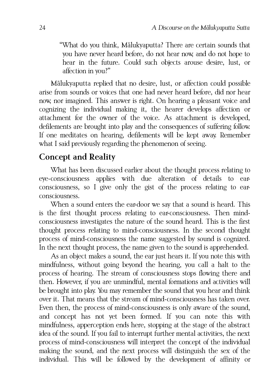"What do you think, Mālukyaputta? There are certain sounds that you have never heard before, do not hear now, and do not hope to hear in the future. Could such objects arouse desire, lust, or affection in you?"

Mālukyaputta replied that no desire, lust, or affection could possible arise from sounds or voices that one had never heard before, did nor hear now, nor imagined. This answer is right. On hearing a pleasant voice and cognizing the individual making it, the hearer develops affection or attachment for the owner of the voice. As attachment is developed, defilements are brought into play and the consequences of suffering follow. If one meditates on hearing, defilements will be kept away. Remember what I said previously regarding the phenomenon of seeing.

#### <span id="page-29-0"></span>**Concept and Reality**

What has been discussed earlier about the thought process relating to eye-consciousness applies with due alteration of details to earconsciousness, so I give only the gist of the process relating to earconsciousness.

When a sound enters the ear-door we say that a sound is heard. This is the first thought process relating to ear-consciousness. Then mindconsciousness investigates the nature of the sound heard. This is the first thought process relating to mind-consciousness. In the second thought process of mind-consciousness the name suggested by sound is cognized. In the next thought process, the name given to the sound is apprehended.

As an object makes a sound, the ear just hears it. If you note this with mindfulness, without going beyond the hearing, you call a halt to the process of hearing. The stream of consciousness stops flowing there and then. However, if you are unmindful, mental formations and activities will be brought into play. You may remember the sound that you hear and think over it. That means that the stream of mind-consciousness has taken over. Even then, the process of mind-consciousness is only aware of the sound, and concept has not yet been formed. If you can note this with mindfulness, apperception ends here, stopping at the stage of the abstract idea of the sound. If you fail to interrupt further mental activities, the next process of mind-consciousness will interpret the concept of the individual making the sound, and the next process will distinguish the sex of the individual. This will be followed by the development of affinity or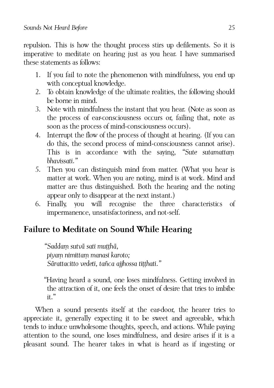repulsion. This is how the thought process stirs up defilements. So it is imperative to meditate on hearing just as you hear. I have summarised these statements as follows:

- 1. If you fail to note the phenomenon with mindfulness, you end up with conceptual knowledge.
- 2. To obtain knowledge of the ultimate realities, the following should be borne in mind.
- 3. Note with mindfulness the instant that you hear. (Note as soon as the process of ear-consciousness occurs or, failing that, note as soon as the process of mind-consciousness occurs).
- 4. Interrupt the flow of the process of thought at hearing. (If you can do this, the second process of mind-consciousness cannot arise). This is in accordance with the saying, *"Sute sutamattaṃ bhavissati."*
- 5. Then you can distinguish mind from matter. (What you hear is matter at work. When you are noting, mind is at work. Mind and matter are thus distinguished. Both the hearing and the noting appear only to disappear at the next instant.)
- 6. Finally, you will recognise the three characteristics of impermanence, unsatisfactoriness, and not-self.

# <span id="page-30-0"></span>**Failure to Meditate on Sound While Hearing**

*"Saddaṃ sutvā sati muṭṭhā, piyaṃ nimittaṃ manasi karoto; Sārattacitto vedeti, tañca ajjhossa tiṭṭhati."*

"Having heard a sound, one loses mindfulness. Getting involved in the attraction of it, one feels the onset of desire that tries to imbibe it."

When a sound presents itself at the ear-door, the hearer tries to appreciate it, generally expecting it to be sweet and agreeable, which tends to induce unwholesome thoughts, speech, and actions. While paying attention to the sound, one loses mindfulness, and desire arises if it is a pleasant sound. The hearer takes in what is heard as if ingesting or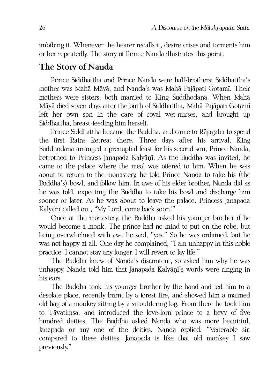imbibing it. Whenever the hearer recalls it, desire arises and torments him or her repeatedly. The story of Prince Nanda illustrates this point.

### <span id="page-31-0"></span>**The Story of Nanda**

Prince Siddhattha and Prince Nanda were half-brothers; Siddhattha's mother was Mahā Māyā, and Nanda's was Mahā Pajāpati Gotamī. Their mothers were sisters, both married to King Suddhodana. When Mahā Māyā died seven days after the birth of Siddhattha, Mahā Pajāpati Gotamī left her own son in the care of royal wet-nurses, and brought up Siddhattha, breast-feeding him herself.

Prince Siddhattha became the Buddha, and came to Rājagaha to spend the first Rains Retreat there. Three days after his arrival, King Suddhodana arranged a prenuptial feast for his second son, Prince Nanda, betrothed to Princess Janapada Kalyāṇī. As the Buddha was invited, he came to the palace where the meal was offered to him. When he was about to return to the monastery, he told Prince Nanda to take his (the Buddha's) bowl, and follow him. In awe of his elder brother, Nanda did as he was told, expecting the Buddha to take his bowl and discharge him sooner or later. As he was about to leave the palace, Princess Janapada Kalyāṇī called out, "My Lord, come back soon!"

Once at the monastery, the Buddha asked his younger brother if he would become a monk. The prince had no mind to put on the robe, but being overwhelmed with awe he said, "yes." So he was ordained, but he was not happy at all. One day he complained, "I am unhappy in this noble practice. I cannot stay any longer. I will revert to lay life."

The Buddha knew of Nanda's discontent, so asked him why he was unhappy. Nanda told him that Janapada Kalyāṇī's words were ringing in his ears.

The Buddha took his younger brother by the hand and led him to a desolate place, recently burnt by a forest fire, and showed him a maimed old hag of a monkey sitting by a smouldering log. From there he took him to Tāvatiṃsa, and introduced the love-lorn prince to a bevy of five hundred deities. The Buddha asked Nanda who was more beautiful, Janapada or any one of the deities. Nanda replied, "Venerable sir, compared to these deities, Janapada is like that old monkey I saw previously."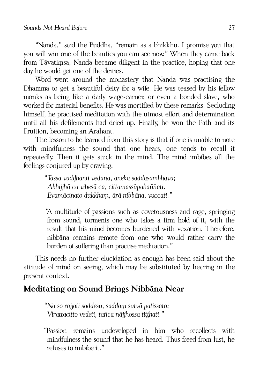"Nanda," said the Buddha, "remain as a bhikkhu. I promise you that you will win one of the beauties you can see now." When they came back from Tāvatiṃsa, Nanda became diligent in the practice, hoping that one day he would get one of the deities.

Word went around the monastery that Nanda was practising the Dhamma to get a beautiful deity for a wife. He was teased by his fellow monks as being like a daily wage-earner, or even a bonded slave, who worked for material benefits. He was mortified by these remarks. Secluding himself, he practised meditation with the utmost effort and determination until all his defilements had dried up. Finally, he won the Path and its Fruition, becoming an Arahant.

The lesson to be learned from this story is that if one is unable to note with mindfulness the sound that one hears, one tends to recall it repeatedly. Then it gets stuck in the mind. The mind imbibes all the feelings conjured up by craving.

> *"Tassa vaḍḍhanti vedanā, anekā saddasambhavā; Abhijjhā ca vihesā ca, cittamassūpahaññati. Evamācinato dukkhaṃ, ārā nibbāna, vuccati."*

"A multitude of passions such as covetousness and rage, springing from sound, torments one who takes a firm hold of it, with the result that his mind becomes burdened with vexation. Therefore, nibbāna remains remote from one who would rather carry the burden of suffering than practise meditation."

This needs no further elucidation as enough has been said about the attitude of mind on seeing, which may be substituted by hearing in the present context.

# <span id="page-32-0"></span>**Meditating on Sound Brings Nibbāna Near**

*"Na so rajjati saddesu, saddaṃ sutvā patissato; Virattacitto vedeti, tañca nājjhossa tiṭṭhati."*

"Passion remains undeveloped in him who recollects with mindfulness the sound that he has heard. Thus freed from lust, he refuses to imbibe it."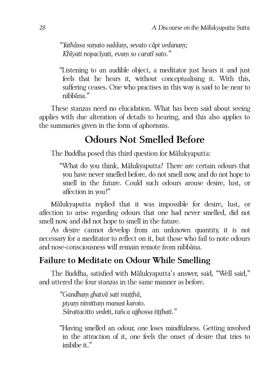*"Yathāssa suṇato saddaṃ, sevato cāpi vedanaṃ; Khīyati nopacīyati, evaṃ so caratī sato."*

"Listening to an audible object, a meditator just hears it and just feels that he hears it, without conceptualising it. With this, suffering ceases. One who practises in this way is said to be near to nibbāna."

These stanzas need no elucidation. What has been said about seeing applies with due alteration of details to hearing, and this also applies to the summaries given in the form of aphorisms.

# <span id="page-33-1"></span>**Odours Not Smelled Before**

The Buddha posed this third question for Mālukyaputta:

"What do you think, Mālukyaputta? There are certain odours that you have never smelled before, do not smell now, and do not hope to smell in the future. Could such odours arouse desire, lust, or affection in you?"

Mālukyaputta replied that it was impossible for desire, lust, or affection to arise regarding odours that one had never smelled, did not smell now, and did not hope to smell in the future.

As desire cannot develop from an unknown quantity, it is not necessary for a meditator to reflect on it, but those who fail to note odours and nose-consciousness will remain remote from nibbāna.

# <span id="page-33-0"></span>**Failure to Meditate on Odour While Smelling**

The Buddha, satisfied with Mālukyaputta's answer, said, "Well said," and uttered the four stanzas in the same manner as before.

*"Gandhaṃ ghatvā sati muṭṭhā, piyaṃ nimittaṃ manasi karoto. Sārattacitto vedeti, tañca ajjhossa tiṭṭhati."*

"Having smelled an odour, one loses mindfulness. Getting involved in the attraction of it, one feels the onset of desire that tries to imbibe it."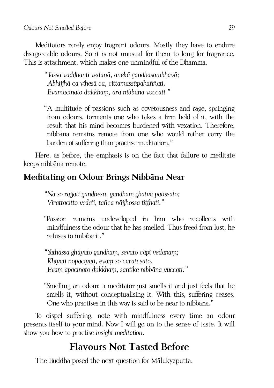Meditators rarely enjoy fragrant odours. Mostly they have to endure disagreeable odours. So it is not unusual for them to long for fragrance. This is attachment, which makes one unmindful of the Dhamma.

> *"Tassa vaḍḍhanti vedanā, anekā gandhasambhavā; Abhijjhā ca vihesā ca, cittamassūpahaññati. Evamācinato dukkhaṃ, ārā nibbāna vuccati."*

"A multitude of passions such as covetousness and rage, springing from odours, torments one who takes a firm hold of it, with the result that his mind becomes burdened with vexation. Therefore, nibbāna remains remote from one who would rather carry the burden of suffering than practise meditation."

Here, as before, the emphasis is on the fact that failure to meditate keeps nibbāna remote.

# <span id="page-34-0"></span>**Meditating on Odour Brings Nibbāna Near**

*"Na so rajjati gandhesu, gandhaṃ ghatvā patissato; Virattacitto vedeti, tañca nājjhossa tiṭṭhati."*

"Passion remains undeveloped in him who recollects with mindfulness the odour that he has smelled. Thus freed from lust, he refuses to imbibe it."

*"Yathāssa ghāyato gandhaṃ, sevato cāpi vedanaṃ; Khīyati nopacīyati, evaṃ so caratī sato. Evaṃ apacinato dukkhaṃ, santike nibbāna vuccati."*

"Smelling an odour, a meditator just smells it and just feels that he smells it, without conceptualising it. With this, suffering ceases. One who practises in this way is said to be near to nibbāna."

To dispel suffering, note with mindfulness every time an odour presents itself to your mind. Now I will go on to the sense of taste. It will show you how to practise *insight meditation*.

# <span id="page-34-1"></span>**Flavours Not Tasted Before**

The Buddha posed the next question for Mālukyaputta.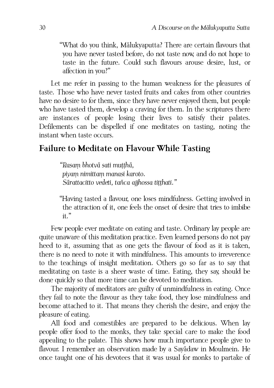"What do you think, Mālukyaputta? There are certain flavours that you have never tasted before, do not taste now, and do not hope to taste in the future. Could such flavours arouse desire, lust, or affection in you?"

Let me refer in passing to the human weakness for the pleasures of taste. Those who have never tasted fruits and cakes from other countries have no desire to for them, since they have never enjoyed them, but people who have tasted them, develop a craving for them. In the scriptures there are instances of people losing their lives to satisfy their palates. Defilements can be dispelled if one meditates on tasting, noting the instant when taste occurs.

#### <span id="page-35-0"></span>**Failure to Meditate on Flavour While Tasting**

*"Rasaṃ bhotvā sati muṭṭhā, piyaṃ nimittaṃ manasi karoto. Sārattacitto vedeti, tañca ajjhossa tiṭṭhati."*

"Having tasted a flavour, one loses mindfulness. Getting involved in the attraction of it, one feels the onset of desire that tries to imbibe it."

Few people ever meditate on eating and taste. Ordinary lay people are quite unaware of this meditation practice. Even learned persons do not pay heed to it, assuming that as one gets the flavour of food as it is taken, there is no need to note it with mindfulness. This amounts to irreverence to the teachings of insight meditation. Others go so far as to say that meditating on taste is a sheer waste of time. Eating, they say, should be done quickly so that more time can be devoted to meditation.

The majority of meditators are guilty of unmindfulness in eating. Once they fail to note the flavour as they take food, they lose mindfulness and become attached to it. That means they cherish the desire, and enjoy the pleasure of eating.

All food and comestibles are prepared to be delicious. When lay people offer food to the monks, they take special care to make the food appealing to the palate. This shows how much importance people give to flavour. I remember an observation made by a Sayādaw in Moulmein. He once taught one of his devotees that it was usual for monks to partake of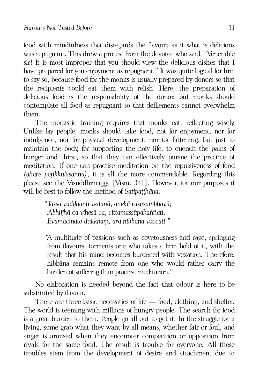food with mindfulness that disregards the flavour, as if what is delicious was repugnant. This drew a protest from the devotee who said, "Venerable sir! It is most improper that you should view the delicious dishes that I have prepared for you enjoyment as repugnant." It was quite logical for him to say so, because food for the monks is usually prepared by donors so that the recipients could eat them with relish. Here, the preparation of delicious food is the responsibility of the donor, but monks should contemplate all food as repugnant so that defilements cannot overwhelm them.

The monastic training requires that monks eat, reflecting wisely. Unlike lay people, monks should take food, not for enjoyment, nor for indulgence, nor for physical development, nor for fattening, but just to maintain the body, for supporting the holy life, to quench the pains of hunger and thirst, so that they can effectively pursue the practice of meditation. If one can practise meditation on the repulsiveness of food *(āhāre paṭikkūlasaññā)*, it is all the more commendable. Regarding this please see the Visuddhimagga [Vism. 341]. However, for our purposes it will be best to follow the method of *Satipatthāna*.

> *"Tassa vaḍḍhanti vedanā, anekā rasasambhavā; Abhijjhā ca vihesā ca, cittamassūpahaññati. Evamācinato dukkhaṃ, ārā nibbāna vuccati."*

"A multitude of passions such as covetousness and rage, springing from flavours, torments one who takes a firm hold of it, with the result that his mind becomes burdened with vexation. Therefore, nibbāna remains remote from one who would rather carry the burden of suffering than practise meditation."

No elaboration is needed beyond the fact that odour is here to be substituted by flavour.

There are three basic necessities of life — food, clothing, and shelter. The world is teeming with millions of hungry people. The search for food is a great burden to them. People go all out to get it. In the struggle for a living, some grab what they want by all means, whether fair or foul, and anger is aroused when they encounter competition or opposition from rivals for the same food. The result is trouble for everyone. All these troubles stem from the development of desire and attachment due to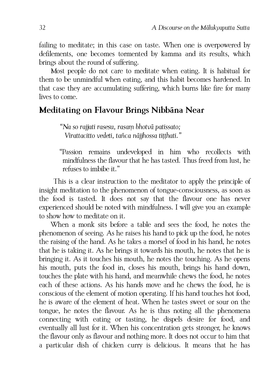failing to meditate; in this case on taste. When one is overpowered by defilements, one becomes tormented by kamma and its results, which brings about the round of suffering.

Most people do not care to meditate when eating. It is habitual for them to be unmindful when eating, and this habit becomes hardened. In that case they are accumulating suffering, which burns like fire for many lives to come.

#### <span id="page-37-0"></span>**Meditating on Flavour Brings Nibbāna Near**

*"Na so rajjati rasesu, rasaṃ bhotvā patissato; Virattacitto vedeti, tañca nājjhossa tiṭṭhati."*

"Passion remains undeveloped in him who recollects with mindfulness the flavour that he has tasted. Thus freed from lust, he refuses to imbibe it."

This is a clear instruction to the meditator to apply the principle of insight meditation to the phenomenon of tongue-consciousness, as soon as the food is tasted. It does not say that the flavour one has never experienced should be noted with mindfulness. I will give you an example to show how to meditate on it.

When a monk sits before a table and sees the food, he notes the phenomenon of seeing. As he raises his hand to pick up the food, he notes the raising of the hand. As he takes a morsel of food in his hand, he notes that he is taking it. As he brings it towards his mouth, he notes that he is bringing it. As it touches his mouth, he notes the touching. As he opens his mouth, puts the food in, closes his mouth, brings his hand down, touches the plate with his hand, and meanwhile chews the food, he notes each of these actions. As his hands move and he chews the food, he is conscious of the element of motion operating. If his hand touches hot food, he is aware of the element of heat. When he tastes sweet or sour on the tongue, he notes the flavour. As he is thus noting all the phenomena connecting with eating or tasting, he dispels desire for food, and eventually all lust for it. When his concentration gets stronger, he knows the flavour only as flavour and nothing more. It does not occur to him that a particular dish of chicken curry is delicious. It means that he has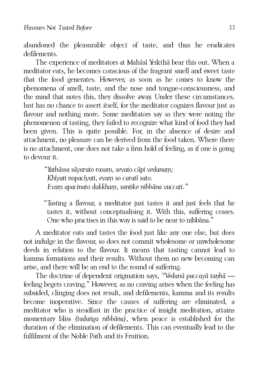abandoned the pleasurable object of taste, and thus he eradicates defilements.

The experience of meditators at Mahāsī Yeikthā bear this out. When a meditator eats, he becomes conscious of the fragrant smell and sweet taste that the food generates. However, as soon as he comes to know the phenomena of smell, taste, and the nose and tongue-consciousness, and the mind that notes this, they dissolve away. Under these circumstances, lust has no chance to assert itself, for the meditator cognizes flavour just as flavour and nothing more. Some meditators say as they were noting the phenomenon of tasting, they failed to recognize what kind of food they had been given. This is quite possible. For, in the absence of desire and attachment, no pleasure can be derived from the food taken. Where there is no attachment, one does not take a firm hold of feeling, as if one is going to devour it.

> *"Yathāssa sāyarato rasaṃ, sevato cāpi vedanaṃ; Khīyati nopacīyati, evaṃ so caratī sato. Evaṃ apacinato dukkhaṃ, santike nibbāna vuccati."*

"Tasting a flavour, a meditator just tastes it and just feels that he tastes it, without conceptualising it. With this, suffering ceases. One who practises in this way is said to be near to nibbāna."

A meditator eats and tastes the food just like any one else, but does not indulge in the flavour, so does not commit wholesome or unwholesome deeds in relation to the flavour. It means that tasting cannot lead to kamma formations and their results. Without them no new becoming can arise, and there will be an end to the round of suffering.

The doctrine of dependent origination says, *"Vedanā paccayā taṇhā* feeling begets craving." However, as no craving arises when the feeling has subsided, clinging does not result, and defilements, kamma and its results become inoperative. Since the causes of suffering are eliminated, a meditator who is steadfast in the practice of insight meditation, attains momentary bliss *(tadaṅga nibbāna)*, when peace is established for the duration of the elimination of defilements. This can eventually lead to the fulfilment of the Noble Path and its Fruition.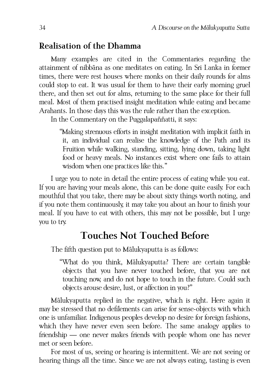#### <span id="page-39-1"></span>**Realisation of the Dhamma**

Many examples are cited in the Commentaries regarding the attainment of nibbāna as one meditates on eating. In Sri Lanka in former times, there were rest houses where monks on their daily rounds for alms could stop to eat. It was usual for them to have their early morning gruel there, and then set out for alms, returning to the same place for their full meal. Most of them practised insight meditation while eating and became Arahants. In those days this was the rule rather than the exception.

In the Commentary on the Puggalapaññatti, it says:

"Making strenuous efforts in insight meditation with implicit faith in it, an individual can realise the knowledge of the Path and its Fruition while walking, standing, sitting, lying down, taking light food or heavy meals. No instances exist where one fails to attain wisdom when one practices like this."

I urge you to note in detail the entire process of eating while you eat. If you are having your meals alone, this can be done quite easily. For each mouthful that you take, there may be about sixty things worth noting, and if you note them continuously, it may take you about an hour to finish your meal. If you have to eat with others, this may not be possible, but I urge you to try.

# <span id="page-39-0"></span>**Touches Not Touched Before**

The fifth question put to Mālukyaputta is as follows:

"What do you think, Mālukyaputta? There are certain tangible objects that you have never touched before, that you are not touching now, and do not hope to touch in the future. Could such objects arouse desire, lust, or affection in you?"

Mālukyaputta replied in the negative, which is right. Here again it may be stressed that no defilements can arise for sense-objects with which one is unfamiliar. Indigenous peoples develop no desire for foreign fashions, which they have never even seen before. The same analogy applies to friendship — one never makes friends with people whom one has never met or seen before.

For most of us, seeing or hearing is intermittent. We are not seeing or hearing things all the time. Since we are not always eating, tasting is even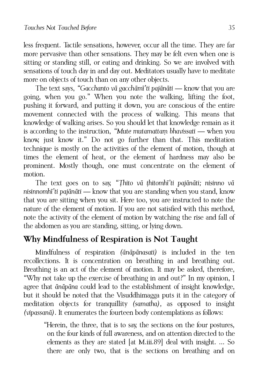less frequent. Tactile sensations, however, occur all the time. They are far more pervasive than other sensations. They may be felt even when one is sitting or standing still, or eating and drinking. So we are involved with sensations of touch day in and day out. Meditators usually have to meditate more on objects of touch than on any other objects.

The text says, *"Gacchanto vā gacchāmī'ti pajānāti* — know that you are going, when you go." When you note the walking, lifting the foot, pushing it forward, and putting it down, you are conscious of the entire movement connected with the process of walking. This means that knowledge of walking arises. So you should let that knowledge remain as it is according to the instruction, *"Mute mutamattaṃ bhavissati* — when you know, just know it." Do not go further than that. This meditation technique is mostly on the activities of the element of motion, though at times the element of heat, or the element of hardness may also be prominent. Mostly though, one must concentrate on the element of motion.

The text goes on to say, *"Ṭhito vā ṭhitomhī'ti pajānāti; nisinno vā nisinnomhī'ti pajānāti* — know that you are standing when you stand, know that you are sitting when you sit. Here too, you are instructed to note the nature of the element of motion. If you are not satisfied with this method, note the activity of the element of motion by watching the rise and fall of the abdomen as you are standing, sitting, or lying down.

# <span id="page-40-0"></span>**Why Mindfulness of Respiration is Not Taught**

Mindfulness of respiration *(ānāpānasati)* is included in the ten recollections. It is concentration on breathing in and breathing out. Breathing is an act of the element of motion. It may be asked, therefore, "Why not take up the exercise of breathing in and out?" In my opinion, I agree that *ānāpāna* could lead to the establishment of insight knowledge, but it should be noted that the Visuddhimagga puts it in the category of meditation objects for tranquillity *(samatha),* as opposed to insight *(vipassanā)*. It enumerates the fourteen body contemplations as follows:

"Herein, the three, that is to say, the sections on the four postures, on the four kinds of full awareness, and on attention directed to the elements as they are stated [at M.iii.89] deal with insight. ... So there are only two, that is the sections on breathing and on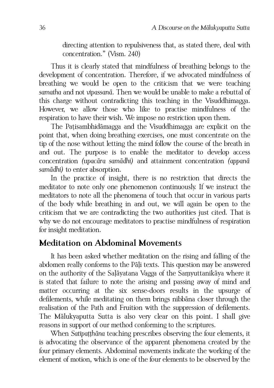directing attention to repulsiveness that, as stated there, deal with concentration." (Vism. 240)

Thus it is clearly stated that mindfulness of breathing belongs to the development of concentration. Therefore, if we advocated mindfulness of breathing we would be open to the criticism that we were teaching *samatha* and not *vipassanā*. Then we would be unable to make a rebuttal of this charge without contradicting this teaching in the Visuddhimagga. However, we allow those who like to practise mindfulness of the respiration to have their wish. We impose no restriction upon them.

The Paṭisambhidāmagga and the Visuddhimagga are explicit on the point that, when doing breathing exercises, one must concentrate on the tip of the nose without letting the mind follow the course of the breath in and out. The purpose is to enable the meditator to develop access concentration *(upacāra samādhi)* and attainment concentration *(appanā samādhi)* to enter absorption.

In the practice of insight, there is no restriction that directs the meditator to note only one phenomenon continuously. If we instruct the meditators to note all the phenomena of touch that occur in various parts of the body while breathing in and out, we will again be open to the criticism that we are contradicting the two authorities just cited. That is why we do not encourage meditators to practise mindfulness of respiration for insight meditation.

#### <span id="page-41-0"></span>**Meditation on Abdominal Movements**

It has been asked whether meditation on the rising and falling of the abdomen really conforms to the Pāḷi texts. This question may be answered on the authority of the Saḷāyatana Vagga of the Saṃyuttanikāya where it is stated that failure to note the arising and passing away of mind and matter occurring at the six sense-doors results in the upsurge of defilements, while meditating on them brings nibbāna closer through the realisation of the Path and Fruition with the suppression of defilements. The Mālukyaputta Sutta is also very clear on this point. I shall give reasons in support of our method conforming to the scriptures.

When *Satipaṭṭhāna* teaching prescribes observing the four elements, it is advocating the observance of the apparent phenomena created by the four primary elements. Abdominal movements indicate the working of the element of motion, which is one of the four elements to be observed by the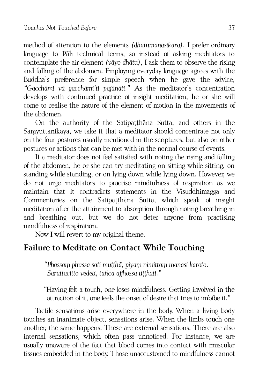method of attention to the elements *(dhātumanasikāra)*. I prefer ordinary language to Pāli technical terms, so instead of asking meditators to contemplate the air element *(vāyo dhātu),* I ask them to observe the rising and falling of the abdomen. Employing everyday language agrees with the Buddha's preference for simple speech when he gave the advice, *"Gacchāmi vā gacchāmi'ti pajānāti."* As the meditator's concentration develops with continued practice of insight meditation, he or she will come to realise the nature of the element of motion in the movements of the abdomen.

On the authority of the Satipaṭṭhāna Sutta, and others in the Saṃyuttanikāya, we take it that a meditator should concentrate not only on the four postures usually mentioned in the scriptures, but also on other postures or actions that can be met with in the normal course of events.

If a meditator does not feel satisfied with noting the rising and falling of the abdomen, he or she can try meditating on sitting while sitting, on standing while standing, or on lying down while lying down. However, we do not urge meditators to practise mindfulness of respiration as we maintain that it contradicts statements in the Visuddhimagga and Commentaries on the Satipatthana Sutta, which speak of insight meditation after the attainment to absorption through noting breathing in and breathing out, but we do not deter anyone from practising mindfulness of respiration.

Now I will revert to my original theme.

#### <span id="page-42-0"></span>**Failure to Meditate on Contact While Touching**

*"Phassaṃ phussa sati muṭṭhā, piyaṃ nimittaṃ manasi karoto. Sārattacitto vedeti, tañca ajjhossa tiṭṭhati."* 

"Having felt a touch, one loses mindfulness. Getting involved in the attraction of it, one feels the onset of desire that tries to imbibe it."

Tactile sensations arise everywhere in the body. When a living body touches an inanimate object, sensations arise. When the limbs touch one another, the same happens. These are external sensations. There are also internal sensations, which often pass unnoticed. For instance, we are usually unaware of the fact that blood comes into contact with muscular tissues embedded in the body. Those unaccustomed to mindfulness cannot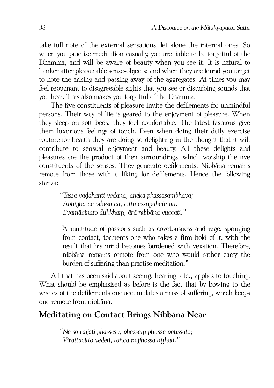take full note of the external sensations, let alone the internal ones. So when you practise meditation casually, you are liable to be forgetful of the Dhamma, and will be aware of beauty when you see it. It is natural to hanker after pleasurable sense-objects; and when they are found you forget to note the arising and passing away of the aggregates. At times you may feel repugnant to disagreeable sights that you see or disturbing sounds that you hear. This also makes you forgetful of the Dhamma.

The five constituents of pleasure invite the defilements for unmindful persons. Their way of life is geared to the enjoyment of pleasure. When they sleep on soft beds, they feel comfortable. The latest fashions give them luxurious feelings of touch. Even when doing their daily exercise routine for health they are doing so delighting in the thought that it will contribute to sensual enjoyment and beauty. All these delights and pleasures are the product of their surroundings, which worship the five constituents of the senses. They generate defilements. Nibbāna remains remote from those with a liking for defilements. Hence the following stanza:

> *"Tassa vaḍḍhanti vedanā, anekā phassasambhavā; Abhijjhā ca vihesā ca, cittmassūpahaññati. Evamācinato dukkhaṃ, ārā nibbāna vuccati."*

"A multitude of passions such as covetousness and rage, springing from contact, torments one who takes a firm hold of it, with the result that his mind becomes burdened with vexation. Therefore, nibbāna remains remote from one who would rather carry the burden of suffering than practise meditation."

All that has been said about seeing, hearing, etc., applies to touching. What should be emphasised as before is the fact that by bowing to the wishes of the defilements one accumulates a mass of suffering, which keeps one remote from nibbāna.

#### <span id="page-43-0"></span>**Meditating on Contact Brings Nibbāna Near**

*"Na so rajjati phassesu, phassaṃ phussa patissato; Virattacitto vedeti, tañca nājjhossa tiṭṭhati."*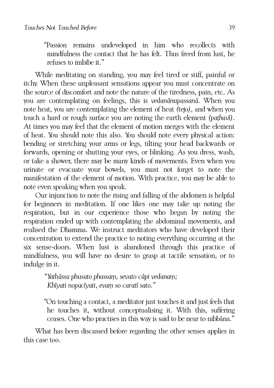"Passion remains undeveloped in him who recollects with mindfulness the contact that he has felt. Thus freed from lust, he refuses to imbibe it."

While meditating on standing, you may feel tired or stiff, painful or itchy. When these unpleasant sensations appear you must concentrate on the source of discomfort and note the nature of the tiredness, pain, etc. As you are contemplating on feelings, this is *vedanānupassanā.* When you note heat, you are contemplating the element of heat *(tejo)*, and when you touch a hard or rough surface you are noting the earth element *(paṭhavī)*. At times you may feel that the element of motion merges with the element of heat. You should note this also. You should note every physical action: bending or stretching your arms or legs, tilting your head backwards or forwards, opening or shutting your eyes, or blinking. As you dress, wash, or take a shower, there may be many kinds of movements. Even when you urinate or evacuate your bowels, you must not forget to note the manifestation of the element of motion. With practice, you may be able to note even speaking when you speak.

Our injunction to note the rising and falling of the abdomen is helpful for beginners in meditation. If one likes one may take up noting the respiration, but in our experience those who began by noting the respiration ended up with contemplating the abdominal movements, and realised the Dhamma. We instruct meditators who have developed their concentration to extend the practice to noting everything occurring at the six sense-doors. When lust is abandoned through this practice of mindfulness, you will have no desire to grasp at tactile sensation, or to indulge in it.

> *"Yathāssa phusato phassaṃ, sevato cāpi vedanaṃ; Khīyati nopacīyati, evaṃ so caratī sato."*

"On touching a contact, a meditator just touches it and just feels that he touches it, without conceptualising it. With this, suffering ceases. One who practises in this way is said to be near to nibbāna."

What has been discussed before regarding the other senses applies in this case too.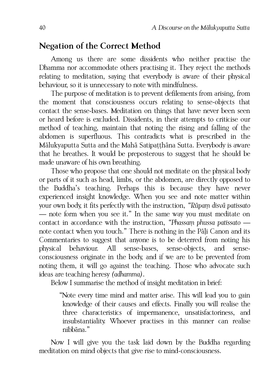#### <span id="page-45-0"></span>**Negation of the Correct Method**

Among us there are some dissidents who neither practise the Dhamma nor accommodate others practising it. They reject the methods relating to meditation, saying that everybody is aware of their physical behaviour, so it is unnecessary to note with mindfulness.

The purpose of meditation is to prevent defilements from arising, from the moment that consciousness occurs relating to sense-objects that contact the sense-bases. Meditation on things that have never been seen or heard before is excluded. Dissidents, in their attempts to criticise our method of teaching, maintain that noting the rising and falling of the abdomen is superfluous. This contradicts what is prescribed in the Mālukyaputta Sutta and the Mahā Satipaṭṭhāna Sutta. Everybody is aware that he breathes. It would be preposterous to suggest that he should be made unaware of his own breathing.

Those who propose that one should not meditate on the physical body or parts of it such as head, limbs, or the abdomen, are directly opposed to the Buddha's teaching. Perhaps this is because they have never experienced insight knowledge. When you see and note matter within your own body, it fits perfectly with the instruction, *"Rūpaṃ disvā patissato* — note form when you see it." In the same way you must meditate on contact in accordance with the instruction, *"Phassaṃ phussa patissato* note contact when you touch." There is nothing in the Pāḷi Canon and its Commentaries to suggest that anyone is to be deterred from noting his physical behaviour. All sense-bases, sense-objects, and senseconsciousness originate in the body, and if we are to be prevented from noting them, it will go against the teaching. Those who advocate such ideas are teaching heresy *(adhamma)*.

Below I summarise the method of insight meditation in brief:

"Note every time mind and matter arise. This will lead you to gain knowledge of their causes and effects. Finally you will realise the three characteristics of impermanence, unsatisfactoriness, and insubstantiality. Whoever practises in this manner can realise nibbāna."

Now I will give you the task laid down by the Buddha regarding meditation on mind objects that give rise to mind-consciousness.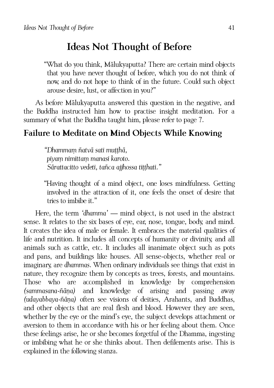# <span id="page-46-1"></span>**Ideas Not Thought of Before**

"What do you think, Mālukyaputta? There are certain mind objects that you have never thought of before, which you do not think of now, and do not hope to think of in the future. Could such object arouse desire, lust, or affection in you?"

As before Mālukyaputta answered this question in the negative, and the Buddha instructed him how to practise insight meditation. For a summary of what the Buddha taught him, please refer to page [7.](#page-12-0)

#### <span id="page-46-0"></span>**Failure to Meditate on Mind Objects While Knowing**

*"Dhammaṃ ñatvā sati muṭṭhā, piyaṃ nimittaṃ manasi karoto. Sārattacitto vedeti, tañca ajjhossa tiṭṭhati."* 

"Having thought of a mind object, one loses mindfulness. Getting involved in the attraction of it, one feels the onset of desire that tries to imbibe it."

Here, the term *'dhamma'* — mind object, is not used in the abstract sense. It relates to the six bases of eye, ear, nose, tongue, body, and mind. It creates the idea of male or female. It embraces the material qualities of life and nutrition. It includes all concepts of humanity or divinity, and all animals such as cattle, etc. It includes all inanimate object such as pots and pans, and buildings like houses. All sense-objects, whether real or imaginary, are *dhammas*. When ordinary individuals see things that exist in nature, they recognize them by concepts as trees, forests, and mountains. Those who are accomplished in knowledge by comprehension *(sammasana-ñāṇa)* and knowledge of arising and passing away *(udayabbaya-ñāṇa)* often see visions of deities, Arahants, and Buddhas, and other objects that are real flesh and blood. However they are seen, whether by the eye or the mind's eye, the subject develops attachment or aversion to them in accordance with his or her feeling about them. Once these feelings arise, he or she becomes forgetful of the Dhamma, ingesting or imbibing what he or she thinks about. Then defilements arise. This is explained in the following stanza.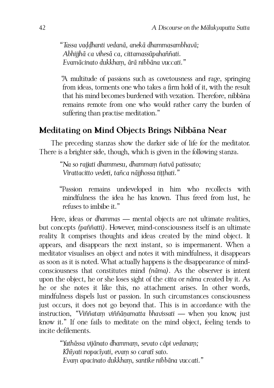*"Tassa vaḍḍhanti vedanā, anekā dhammasambhavā; Abhijjhā ca vihesā ca, cittamassūpahaññati. Evamācinato dukkhaṃ, ārā nibbāna vuccati."*

"A multitude of passions such as covetousness and rage, springing from ideas, torments one who takes a firm hold of it, with the result that his mind becomes burdened with vexation. Therefore, nibbāna remains remote from one who would rather carry the burden of suffering than practise meditation."

#### <span id="page-47-0"></span>**Meditating on Mind Objects Brings Nibbāna Near**

The preceding stanzas show the darker side of life for the meditator. There is a brighter side, though, which is given in the following stanza.

*"Na so rajjati dhammesu, dhammaṃ ñatvā patissato; Virattacitto vedeti, tañca nājjhossa tiṭṭhati."*

"Passion remains undeveloped in him who recollects with mindfulness the idea he has known. Thus freed from lust, he refuses to imbibe it."

Here, ideas or *dhammas* — mental objects are not ultimate realities, but concepts *(paññatti)*. However, mind-consciousness itself is an ultimate reality. It comprises thoughts and ideas created by the mind object. It appears, and disappears the next instant, so is impermanent. When a meditator visualises an object and notes it with mindfulness, it disappears as soon as it is noted. What actually happens is the disappearance of mindconsciousness that constitutes mind *(nāma)*. As the observer is intent upon the object, he or she loses sight of the *citta* or *nāma* created by it. As he or she notes it like this, no attachment arises. In other words, mindfulness dispels lust or passion. In such circumstances consciousness just occurs, it does not go beyond that. This is in accordance with the instruction, *"Viññataṃ viññāṇamatta bhavissati* — when you know, just know it." If one fails to meditate on the mind object, feeling tends to incite defilements.

> *"Yathāssa vijānato dhammaṃ, sevato cāpi vedanaṃ; Khīyati nopacīyati, evaṃ so caratī sato. Evaṃ apacinato dukkhaṃ, santike nibbāna vuccati."*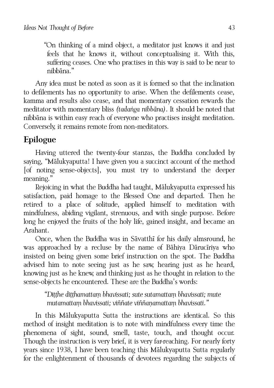"On thinking of a mind object, a meditator just knows it and just feels that he knows it, without conceptualising it. With this, suffering ceases. One who practises in this way is said to be near to nibbāna."

Any idea must be noted as soon as it is formed so that the inclination to defilements has no opportunity to arise. When the defilements cease, kamma and results also cease, and that momentary cessation rewards the meditator with momentary bliss *(tadaṅga nibbāna)*. It should be noted that nibbāna is within easy reach of everyone who practises insight meditation. Conversely, it remains remote from non-meditators.

# <span id="page-48-0"></span>**Epilogue**

Having uttered the twenty-four stanzas, the Buddha concluded by saying, "Mālukyaputta! I have given you a succinct account of the method [of noting sense-objects], you must try to understand the deeper meaning."

Rejoicing in what the Buddha had taught, Mālukyaputta expressed his satisfaction, paid homage to the Blessed One and departed. Then he retired to a place of solitude, applied himself to meditation with mindfulness, abiding vigilant, strenuous, and with single purpose. Before long he enjoyed the fruits of the holy life, gained insight, and became an Arahant.

Once, when the Buddha was in Sāvatthī for his daily almsround, he was approached by a recluse by the name of Bāhiya Dārucīriya who insisted on being given some brief instruction on the spot. The Buddha advised him to note seeing just as he saw, hearing just as he heard, knowing just as he knew, and thinking just as he thought in relation to the sense-objects he encountered. These are the Buddha's words:

> *"Diṭṭhe diṭṭhamattaṃ bhavissati; sute sutamattaṃ bhavissati; mute mutamattaṃ bhavissati; viññate viññaṇamattaṃ bhavissati."*

In this Mālukyaputta Sutta the instructions are identical. So this method of insight meditation is to note with mindfulness every time the phenomena of sight, sound, smell, taste, touch, and thought occur. Though the instruction is very brief, it is very far-reaching. For nearly forty years since 1938, I have been teaching this Mālukyaputta Sutta regularly for the enlightenment of thousands of devotees regarding the subjects of